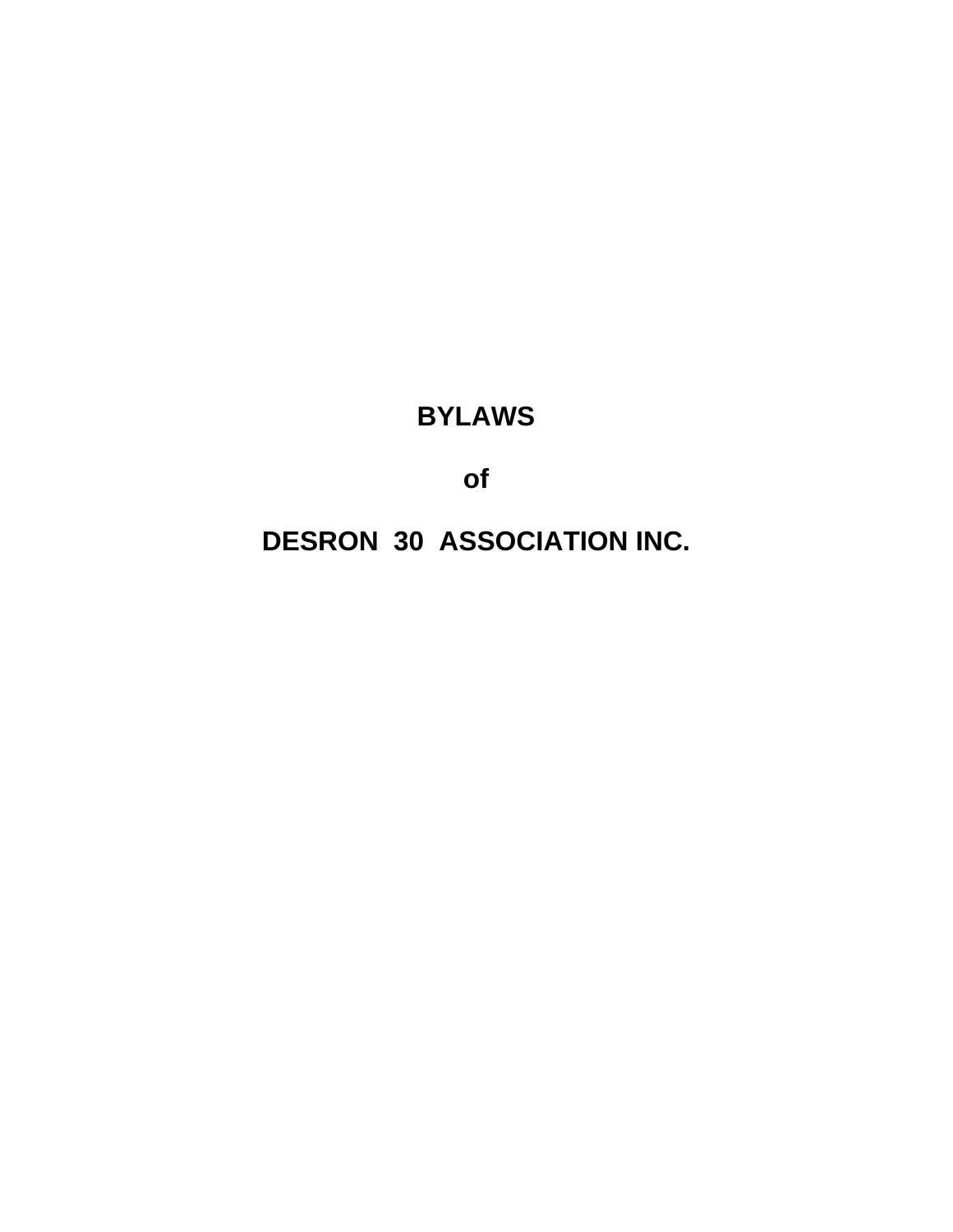# **BYLAWS**

of

**DESRON 30 ASSOCIATION INC.**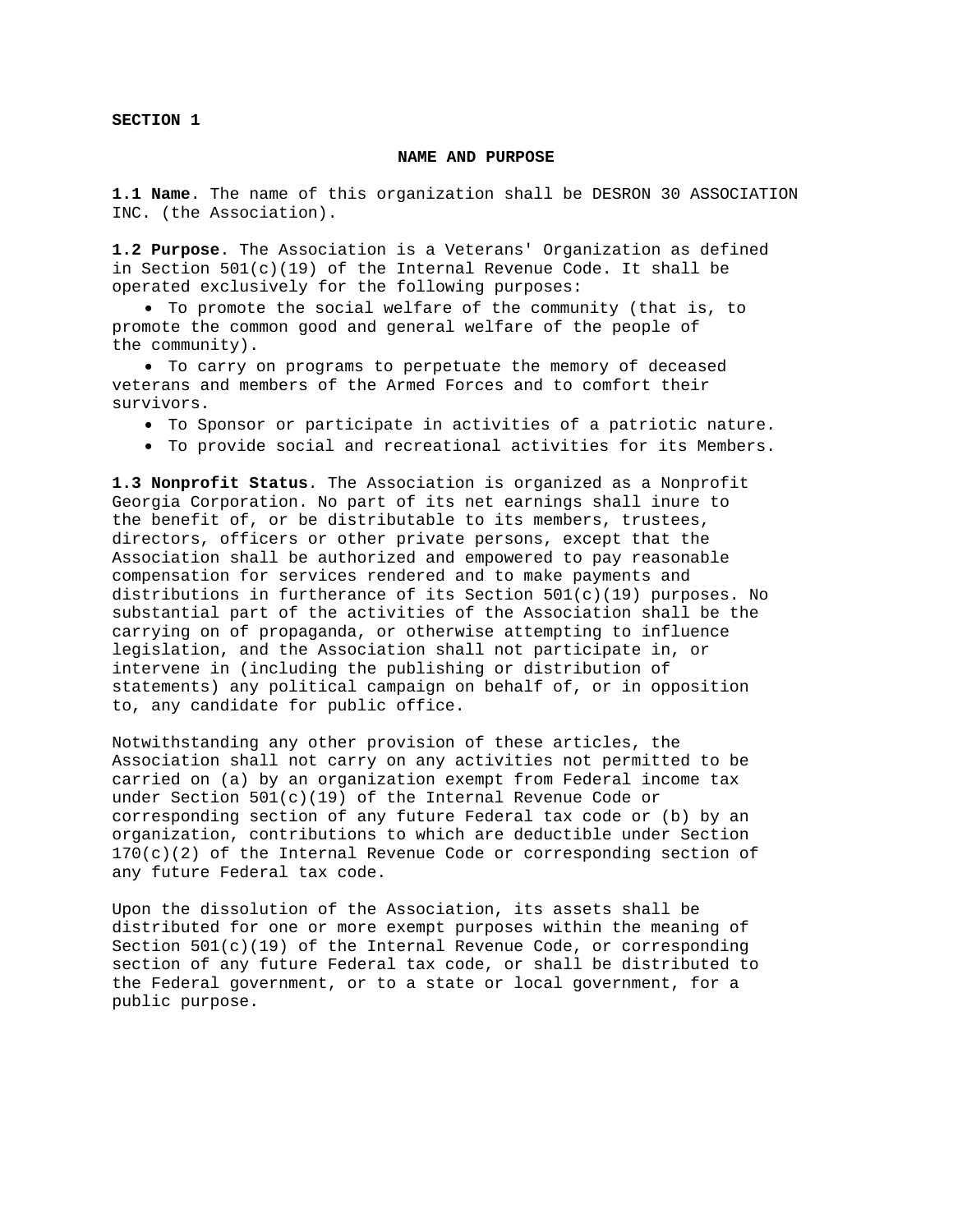**SECTION 1** 

#### **NAME AND PURPOSE**

**1.1 Name**. The name of this organization shall be DESRON 30 ASSOCIATION INC. (the Association).

**1.2 Purpose**. The Association is a Veterans' Organization as defined in Section  $501(c)(19)$  of the Internal Revenue Code. It shall be operated exclusively for the following purposes:

• To promote the social welfare of the community (that is, to promote the common good and general welfare of the people of the community).

• To carry on programs to perpetuate the memory of deceased veterans and members of the Armed Forces and to comfort their survivors.

- To Sponsor or participate in activities of a patriotic nature.
- To provide social and recreational activities for its Members.

**1.3 Nonprofit Status**. The Association is organized as a Nonprofit Georgia Corporation. No part of its net earnings shall inure to the benefit of, or be distributable to its members, trustees, directors, officers or other private persons, except that the Association shall be authorized and empowered to pay reasonable compensation for services rendered and to make payments and distributions in furtherance of its Section  $501(c)(19)$  purposes. No substantial part of the activities of the Association shall be the carrying on of propaganda, or otherwise attempting to influence legislation, and the Association shall not participate in, or intervene in (including the publishing or distribution of statements) any political campaign on behalf of, or in opposition to, any candidate for public office.

Notwithstanding any other provision of these articles, the Association shall not carry on any activities not permitted to be carried on (a) by an organization exempt from Federal income tax under Section 501(c)(19) of the Internal Revenue Code or corresponding section of any future Federal tax code or (b) by an organization, contributions to which are deductible under Section  $170(c)(2)$  of the Internal Revenue Code or corresponding section of any future Federal tax code.

Upon the dissolution of the Association, its assets shall be distributed for one or more exempt purposes within the meaning of Section  $501(c)(19)$  of the Internal Revenue Code, or corresponding section of any future Federal tax code, or shall be distributed to the Federal government, or to a state or local government, for a public purpose.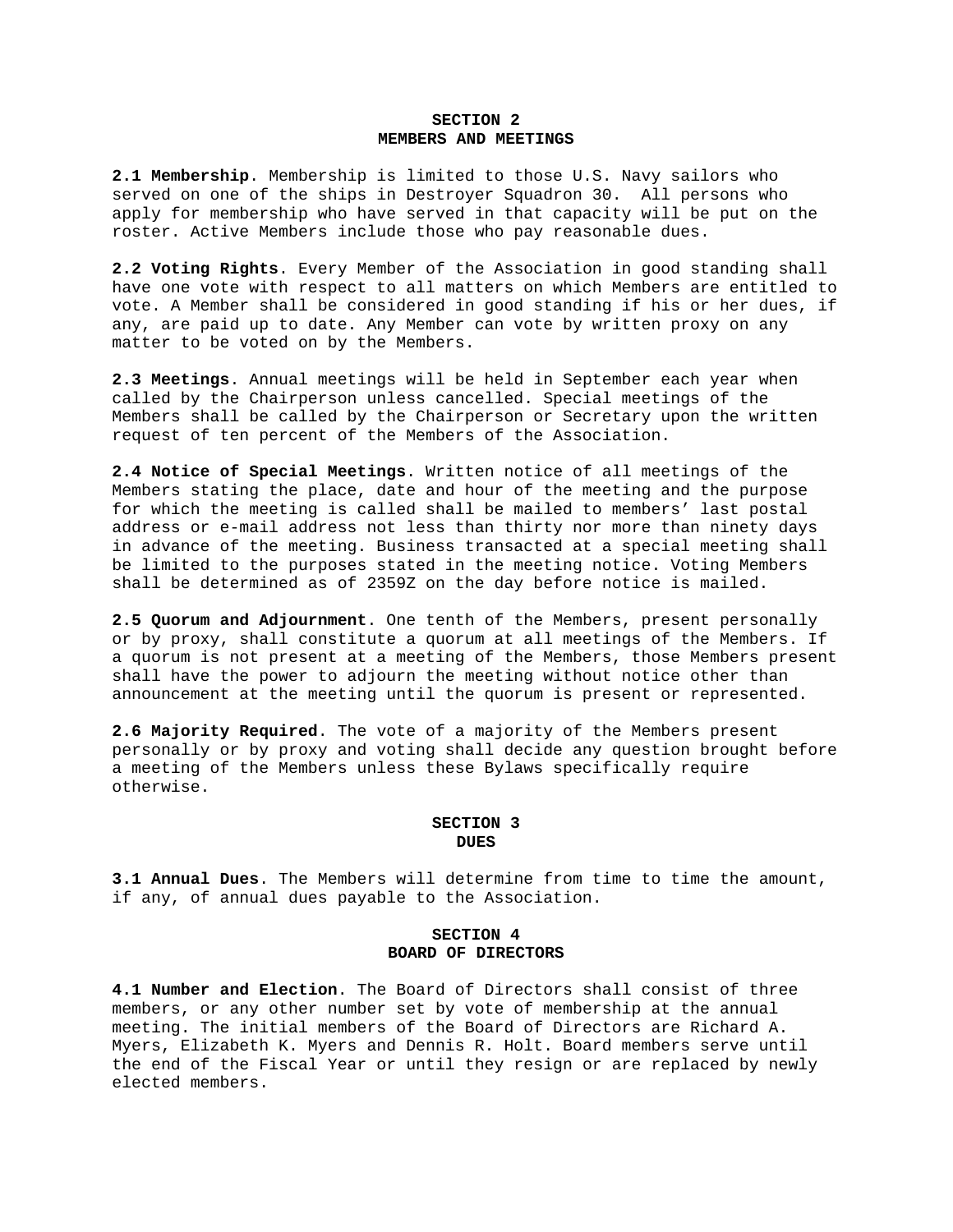#### **SECTION 2 MEMBERS AND MEETINGS**

**2.1 Membership**. Membership is limited to those U.S. Navy sailors who served on one of the ships in Destroyer Squadron 30. All persons who apply for membership who have served in that capacity will be put on the roster. Active Members include those who pay reasonable dues.

**2.2 Voting Rights**. Every Member of the Association in good standing shall have one vote with respect to all matters on which Members are entitled to vote. A Member shall be considered in good standing if his or her dues, if any, are paid up to date. Any Member can vote by written proxy on any matter to be voted on by the Members.

**2.3 Meetings**. Annual meetings will be held in September each year when called by the Chairperson unless cancelled. Special meetings of the Members shall be called by the Chairperson or Secretary upon the written request of ten percent of the Members of the Association.

**2.4 Notice of Special Meetings**. Written notice of all meetings of the Members stating the place, date and hour of the meeting and the purpose for which the meeting is called shall be mailed to members' last postal address or e-mail address not less than thirty nor more than ninety days in advance of the meeting. Business transacted at a special meeting shall be limited to the purposes stated in the meeting notice. Voting Members shall be determined as of 2359Z on the day before notice is mailed.

**2.5 Quorum and Adjournment**. One tenth of the Members, present personally or by proxy, shall constitute a quorum at all meetings of the Members. If a quorum is not present at a meeting of the Members, those Members present shall have the power to adjourn the meeting without notice other than announcement at the meeting until the quorum is present or represented.

**2.6 Majority Required**. The vote of a majority of the Members present personally or by proxy and voting shall decide any question brought before a meeting of the Members unless these Bylaws specifically require otherwise.

#### **SECTION 3 DUES**

**3.1 Annual Dues**. The Members will determine from time to time the amount, if any, of annual dues payable to the Association.

## **SECTION 4 BOARD OF DIRECTORS**

**4.1 Number and Election**. The Board of Directors shall consist of three members, or any other number set by vote of membership at the annual meeting. The initial members of the Board of Directors are Richard A. Myers, Elizabeth K. Myers and Dennis R. Holt. Board members serve until the end of the Fiscal Year or until they resign or are replaced by newly elected members.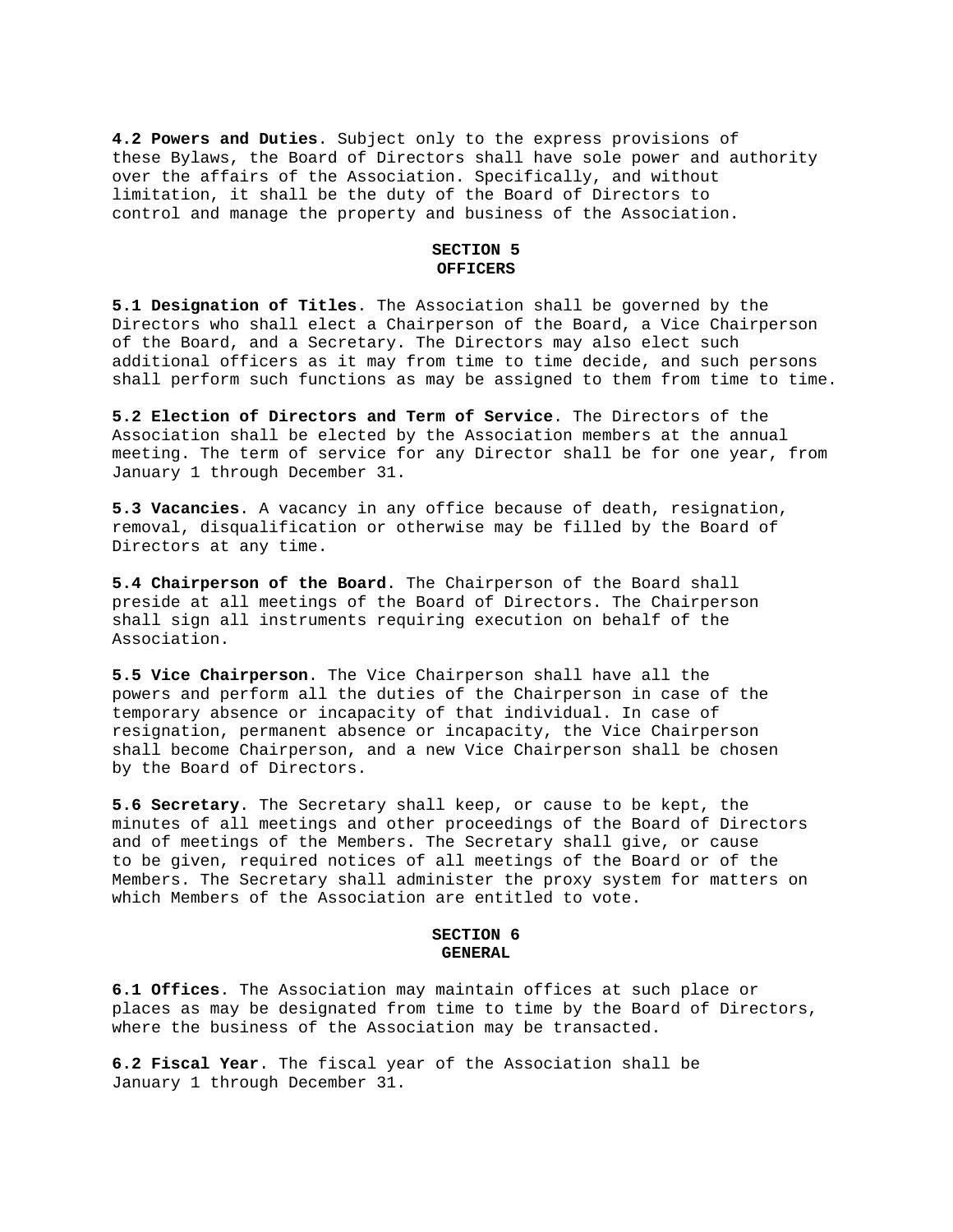**4.2 Powers and Duties**. Subject only to the express provisions of these Bylaws, the Board of Directors shall have sole power and authority over the affairs of the Association. Specifically, and without limitation, it shall be the duty of the Board of Directors to control and manage the property and business of the Association.

#### **SECTION 5 OFFICERS**

**5.1 Designation of Titles**. The Association shall be governed by the Directors who shall elect a Chairperson of the Board, a Vice Chairperson of the Board, and a Secretary. The Directors may also elect such additional officers as it may from time to time decide, and such persons shall perform such functions as may be assigned to them from time to time.

**5.2 Election of Directors and Term of Service**. The Directors of the Association shall be elected by the Association members at the annual meeting. The term of service for any Director shall be for one year, from January 1 through December 31.

**5.3 Vacancies**. A vacancy in any office because of death, resignation, removal, disqualification or otherwise may be filled by the Board of Directors at any time.

**5.4 Chairperson of the Board**. The Chairperson of the Board shall preside at all meetings of the Board of Directors. The Chairperson shall sign all instruments requiring execution on behalf of the Association.

**5.5 Vice Chairperson**. The Vice Chairperson shall have all the powers and perform all the duties of the Chairperson in case of the temporary absence or incapacity of that individual. In case of resignation, permanent absence or incapacity, the Vice Chairperson shall become Chairperson, and a new Vice Chairperson shall be chosen by the Board of Directors.

**5.6 Secretary**. The Secretary shall keep, or cause to be kept, the minutes of all meetings and other proceedings of the Board of Directors and of meetings of the Members. The Secretary shall give, or cause to be given, required notices of all meetings of the Board or of the Members. The Secretary shall administer the proxy system for matters on which Members of the Association are entitled to vote.

## **SECTION 6 GENERAL**

**6.1 Offices**. The Association may maintain offices at such place or places as may be designated from time to time by the Board of Directors, where the business of the Association may be transacted.

**6.2 Fiscal Year**. The fiscal year of the Association shall be January 1 through December 31.